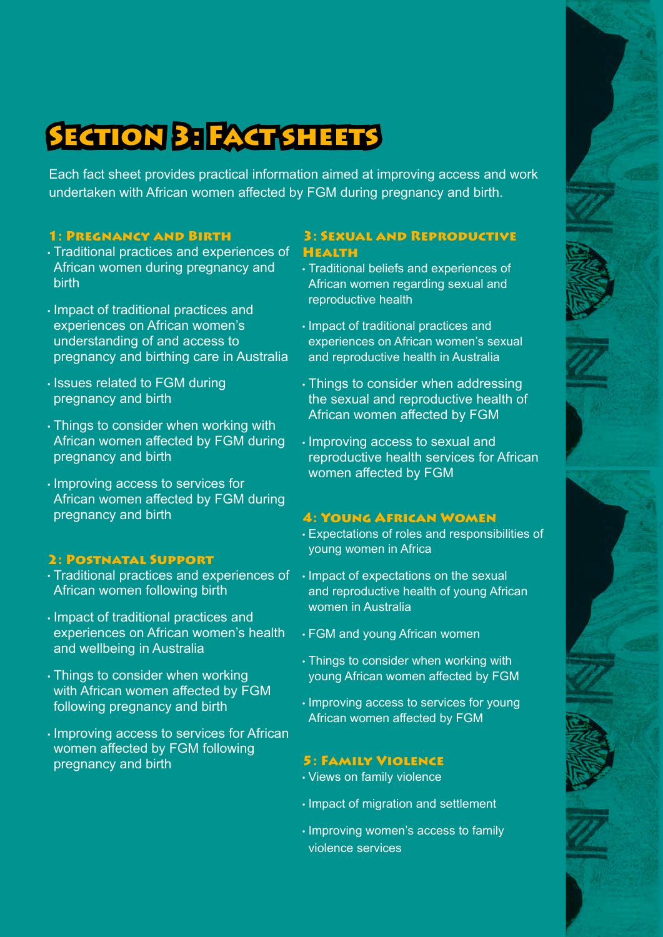# SECTION BERXCTSHEETS

Each fact sheet provides practical information aimed at improving access and work undertaken with African women affected by FGM during pregnancy and birth.

### 1: Pregnancy and Birth

- Traditional practices and experiences of African women during pregnancy and birth
- Impact of traditional practices and experiences on African women's understanding of and access to pregnancy and birthing care in Australia
- Issues related to FGM during pregnancy and birth
- Things to consider when working with African women affected by FGM during pregnancy and birth
- Improving access to services for African women affected by FGM during pregnancy and birth

#### 2: Postnatal Support

- Traditional practices and experiences of African women following birth
- Impact of traditional practices and experiences on African women's health and wellbeing in Australia
- Things to consider when working with African women affected by FGM following pregnancy and birth
- Improving access to services for African women affected by FGM following pregnancy and birth

#### 3: Sexual and Reproductive Health

- Traditional beliefs and experiences of African women regarding sexual and reproductive health
- Impact of traditional practices and experiences on African women's sexual and reproductive health in Australia
- Things to consider when addressing the sexual and reproductive health of African women affected by FGM
- Improving access to sexual and reproductive health services for African women affected by FGM

#### 4: Young African Women

- Expectations of roles and responsibilities of young women in Africa
- Impact of expectations on the sexual and reproductive health of young African women in Australia
- FGM and young African women
- Things to consider when working with young African women affected by FGM
- Improving access to services for young African women affected by FGM

## 5: Family Violence

- Views on family violence
- Impact of migration and settlement
- Improving women's access to family violence services

SECTION 3: Fact Sheets • Mama and Nunu 233

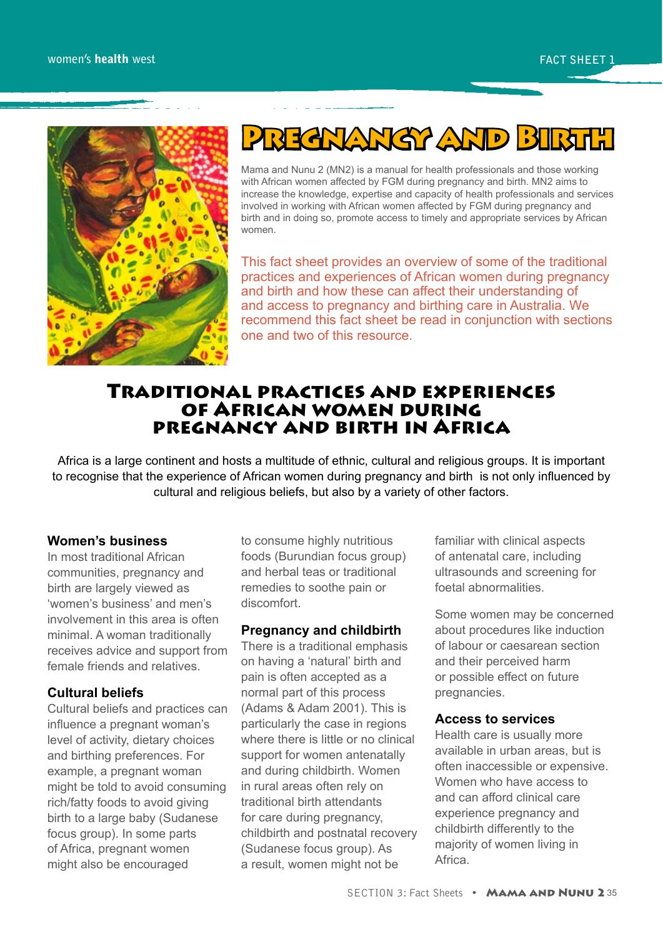



Mama and Nunu 2 (MN2) is a manual for health professionals and those working with African women affected by FGM during pregnancy and birth. MN2 aims to increase the knowledge, expertise and capacity of health professionals and services involved in working with African women affected by FGM during pregnancy and birth and in doing so, promote access to timely and appropriate services by African women.

This fact sheet provides an overview of some of the traditional practices and experiences of African women during pregnancy and birth and how these can affect their understanding of and access to pregnancy and birthing care in Australia. We recommend this fact sheet be read in conjunction with sections one and two of this resource.

# Traditional practices and experiences of African women during pregnancy and birth in Africa

Africa is a large continent and hosts a multitude of ethnic, cultural and religious groups. It is important to recognise that the experience of African women during pregnancy and birth is not only influenced by cultural and religious beliefs, but also by a variety of other factors.

#### **Women's business**

In most traditional African communities, pregnancy and birth are largely viewed as 'women's business' and men's involvement in this area is often minimal. A woman traditionally receives advice and support from female friends and relatives.

#### **Cultural beliefs**

Cultural beliefs and practices can influence a pregnant woman's level of activity, dietary choices and birthing preferences. For example, a pregnant woman might be told to avoid consuming rich/fatty foods to avoid giving birth to a large baby (Sudanese focus group). In some parts of Africa, pregnant women might also be encouraged

to consume highly nutritious foods (Burundian focus group) and herbal teas or traditional remedies to soothe pain or discomfort.

#### **Pregnancy and childbirth**

There is a traditional emphasis on having a 'natural' birth and pain is often accepted as a normal part of this process (Adams & Adam 2001). This is particularly the case in regions where there is little or no clinical support for women antenatally and during childbirth. Women in rural areas often rely on traditional birth attendants for care during pregnancy, childbirth and postnatal recovery (Sudanese focus group). As a result, women might not be

familiar with clinical aspects of antenatal care, including ultrasounds and screening for foetal abnormalities.

Some women may be concerned about procedures like induction of labour or caesarean section and their perceived harm or possible effect on future pregnancies.

#### **Access to services**

Health care is usually more available in urban areas, but is often inaccessible or expensive. Women who have access to and can afford clinical care experience pregnancy and childbirth differently to the majority of women living in Africa.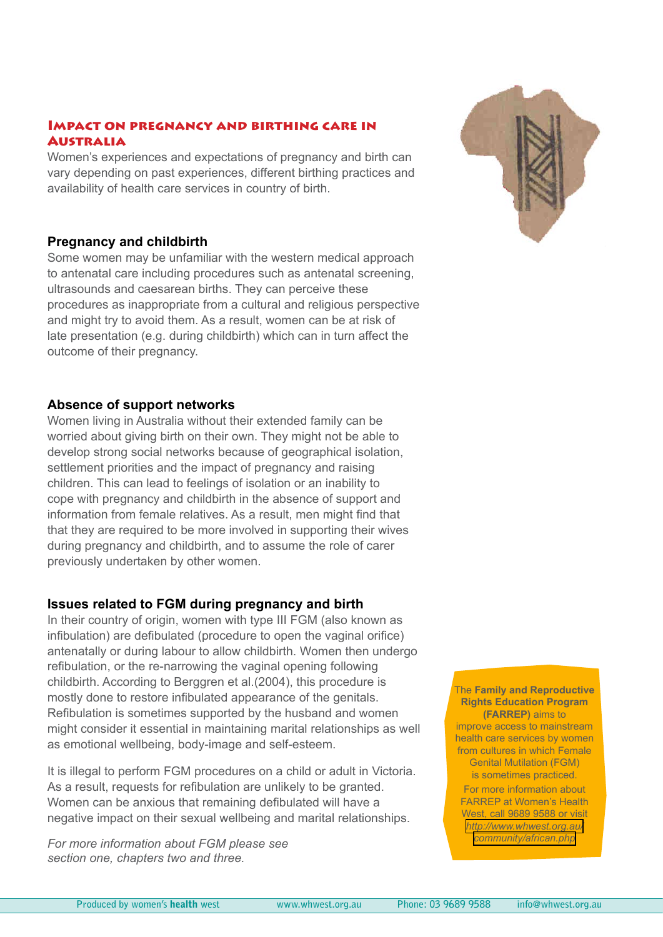#### Impact on pregnancy and birthing care in **AUSTRALIA**

Women's experiences and expectations of pregnancy and birth can vary depending on past experiences, different birthing practices and availability of health care services in country of birth.

#### **Pregnancy and childbirth**

Some women may be unfamiliar with the western medical approach to antenatal care including procedures such as antenatal screening, ultrasounds and caesarean births. They can perceive these procedures as inappropriate from a cultural and religious perspective and might try to avoid them. As a result, women can be at risk of late presentation (e.g. during childbirth) which can in turn affect the outcome of their pregnancy.

#### **Absence of support networks**

Women living in Australia without their extended family can be worried about giving birth on their own. They might not be able to develop strong social networks because of geographical isolation, settlement priorities and the impact of pregnancy and raising children. This can lead to feelings of isolation or an inability to cope with pregnancy and childbirth in the absence of support and information from female relatives. As a result, men might find that that they are required to be more involved in supporting their wives during pregnancy and childbirth, and to assume the role of carer previously undertaken by other women.

#### **Issues related to FGM during pregnancy and birth**

In their country of origin, women with type III FGM (also known as infibulation) are defibulated (procedure to open the vaginal orifice) antenatally or during labour to allow childbirth. Women then undergo refibulation, or the re-narrowing the vaginal opening following childbirth. According to Berggren et al.(2004), this procedure is mostly done to restore infibulated appearance of the genitals. Refibulation is sometimes supported by the husband and women might consider it essential in maintaining marital relationships as well as emotional wellbeing, body-image and self-esteem.

It is illegal to perform FGM procedures on a child or adult in Victoria. As a result, requests for refibulation are unlikely to be granted. Women can be anxious that remaining defibulated will have a negative impact on their sexual wellbeing and marital relationships.

*For more information about FGM please see section one, chapters two and three.*



#### The **Family and Reproductive Rights Education Program (FARREP)** aims to

improve access to mainstream health care services by women from cultures in which Female Genital Mutilation (FGM) is sometimes practiced.

For more information about FARREP at Women's Health West, call 9689 9588 or visit *[http://www.whwest.org.au/](http://www.whwest.org.au/community/african.php) [community/african.php](http://www.whwest.org.au/community/african.php)*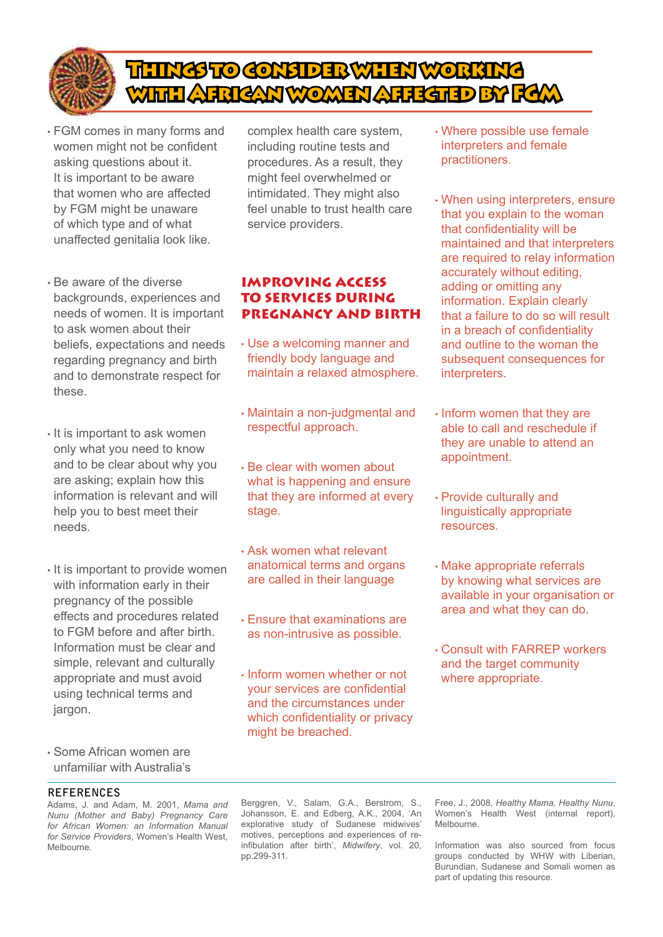

# Things to consider when working with African women affected by FGM

- FGM comes in many forms and women might not be confident asking questions about it. It is important to be aware that women who are affected by FGM might be unaware of which type and of what unaffected genitalia look like.
- Be aware of the diverse backgrounds, experiences and needs of women. It is important to ask women about their beliefs, expectations and needs regarding pregnancy and birth and to demonstrate respect for these.
- It is important to ask women only what you need to know and to be clear about why you are asking; explain how this information is relevant and will help you to best meet their needs.
- It is important to provide women with information early in their pregnancy of the possible effects and procedures related to FGM before and after birth. Information must be clear and simple, relevant and culturally appropriate and must avoid using technical terms and jargon.
- Some African women are unfamiliar with Australia's

#### **REFERENCES**

Adams, J. and Adam, M. 2001, *Mama and Nunu (Mother and Baby) Pregnancy Care for African Women: an Information Manual for Service Providers*, Women's Health West, Melbourne.

complex health care system, including routine tests and procedures. As a result, they might feel overwhelmed or intimidated. They might also feel unable to trust health care service providers.

#### IMPROVING ACCESS TO SERVICES DURING PREGNANCY AND BIRTH

- Use a welcoming manner and friendly body language and maintain a relaxed atmosphere.
- Maintain a non-judgmental and respectful approach.
- Be clear with women about what is happening and ensure that they are informed at every stage.
- Ask women what relevant anatomical terms and organs are called in their language
- Ensure that examinations are as non-intrusive as possible.
- Inform women whether or not your services are confidential and the circumstances under which confidentiality or privacy might be breached.
- Where possible use female interpreters and female practitioners.
- When using interpreters, ensure that you explain to the woman that confidentiality will be maintained and that interpreters are required to relay information accurately without editing, adding or omitting any information. Explain clearly that a failure to do so will result in a breach of confidentiality and outline to the woman the subsequent consequences for interpreters.
- Inform women that they are able to call and reschedule if they are unable to attend an appointment.
- Provide culturally and linguistically appropriate resources.
- Make appropriate referrals by knowing what services are available in your organisation or area and what they can do.
- Consult with FARREP workers and the target community where appropriate.

Berggren, V., Salam, G.A., Berstrom, S., Johansson, E. and Edberg, A.K., 2004, 'An explorative study of Sudanese midwives' motives, perceptions and experiences of reinfibulation after birth', *Midwifery*, vol. 20, pp.299-311.

Free, J., 2008, *Healthy Mama, Healthy Nunu*, Women's Health West (internal report), Melbourne.

Information was also sourced from focus groups conducted by WHW with Liberian, Burundian, Sudanese and Somali women as part of updating this resource.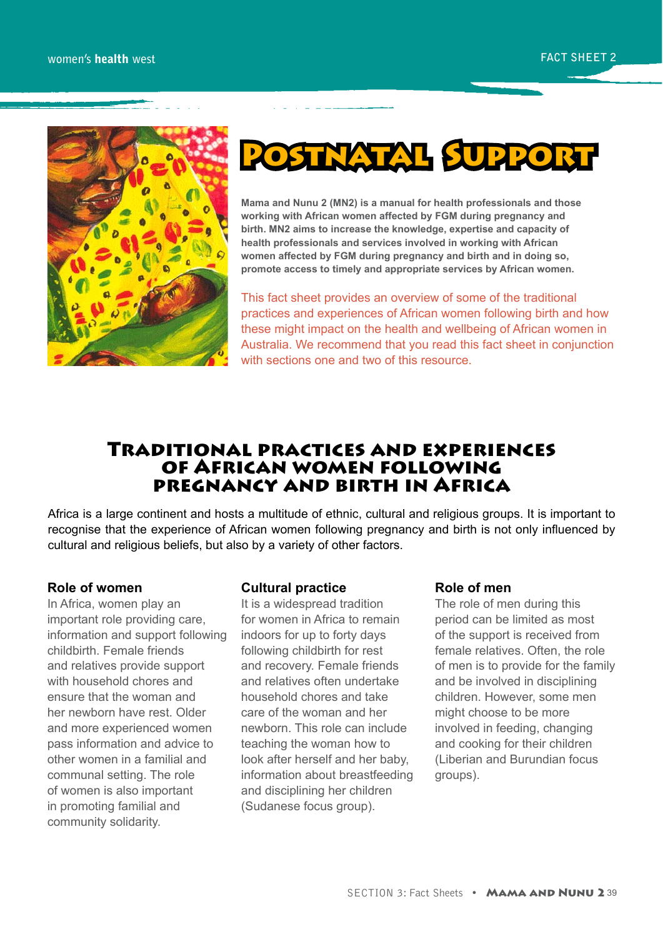



**Mama and Nunu 2 (MN2) is a manual for health professionals and those working with African women affected by FGM during pregnancy and birth. MN2 aims to increase the knowledge, expertise and capacity of health professionals and services involved in working with African women affected by FGM during pregnancy and birth and in doing so, promote access to timely and appropriate services by African women.** 

This fact sheet provides an overview of some of the traditional practices and experiences of African women following birth and how these might impact on the health and wellbeing of African women in Australia. We recommend that you read this fact sheet in conjunction with sections one and two of this resource.

## Traditional practices and experiences of African women following pregnancy and birth in Africa

Africa is a large continent and hosts a multitude of ethnic, cultural and religious groups. It is important to recognise that the experience of African women following pregnancy and birth is not only influenced by cultural and religious beliefs, but also by a variety of other factors.

#### **Role of women**

In Africa, women play an important role providing care, information and support following childbirth. Female friends and relatives provide support with household chores and ensure that the woman and her newborn have rest. Older and more experienced women pass information and advice to other women in a familial and communal setting. The role of women is also important in promoting familial and community solidarity.

#### **Cultural practice**

It is a widespread tradition for women in Africa to remain indoors for up to forty days following childbirth for rest and recovery. Female friends and relatives often undertake household chores and take care of the woman and her newborn. This role can include teaching the woman how to look after herself and her baby, information about breastfeeding and disciplining her children (Sudanese focus group).

#### **Role of men**

The role of men during this period can be limited as most of the support is received from female relatives. Often, the role of men is to provide for the family and be involved in disciplining children. However, some men might choose to be more involved in feeding, changing and cooking for their children (Liberian and Burundian focus groups).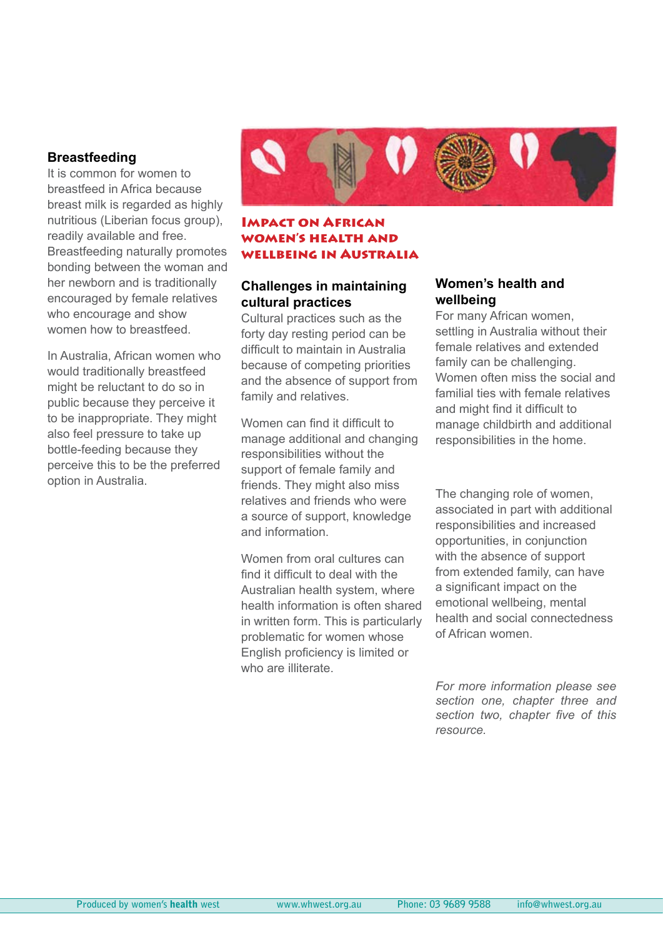#### **Breastfeeding**

It is common for women to breastfeed in Africa because breast milk is regarded as highly nutritious (Liberian focus group), readily available and free. Breastfeeding naturally promotes bonding between the woman and her newborn and is traditionally encouraged by female relatives who encourage and show women how to breastfeed.

In Australia, African women who would traditionally breastfeed might be reluctant to do so in public because they perceive it to be inappropriate. They might also feel pressure to take up bottle-feeding because they perceive this to be the preferred option in Australia.



#### Impact on African women's health and wellbeing in Australia

#### **Challenges in maintaining cultural practices**

Cultural practices such as the forty day resting period can be difficult to maintain in Australia because of competing priorities and the absence of support from family and relatives.

Women can find it difficult to manage additional and changing responsibilities without the support of female family and friends. They might also miss relatives and friends who were a source of support, knowledge and information.

Women from oral cultures can find it difficult to deal with the Australian health system, where health information is often shared in written form. This is particularly problematic for women whose English proficiency is limited or who are illiterate.

#### **Women's health and wellbeing**

For many African women, settling in Australia without their female relatives and extended family can be challenging. Women often miss the social and familial ties with female relatives and might find it difficult to manage childbirth and additional responsibilities in the home.

The changing role of women, associated in part with additional responsibilities and increased opportunities, in conjunction with the absence of support from extended family, can have a significant impact on the emotional wellbeing, mental health and social connectedness of African women.

*For more information please see section one, chapter three and section two, chapter five of this resource.*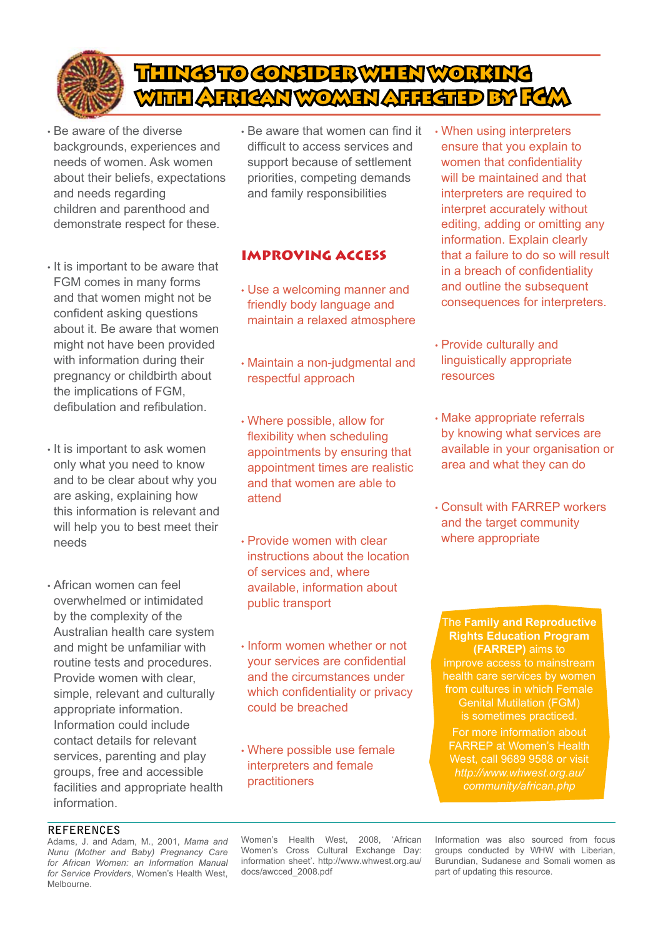

# Things to consider when working with African women affected by FGM

- Be aware of the diverse backgrounds, experiences and needs of women. Ask women about their beliefs, expectations and needs regarding children and parenthood and demonstrate respect for these.
- It is important to be aware that FGM comes in many forms and that women might not be confident asking questions about it. Be aware that women might not have been provided with information during their pregnancy or childbirth about the implications of FGM, defibulation and refibulation.
- It is important to ask women only what you need to know and to be clear about why you are asking, explaining how this information is relevant and will help you to best meet their needs
- African women can feel overwhelmed or intimidated by the complexity of the Australian health care system and might be unfamiliar with routine tests and procedures. Provide women with clear, simple, relevant and culturally appropriate information. Information could include contact details for relevant services, parenting and play groups, free and accessible facilities and appropriate health information.

• Be aware that women can find it difficult to access services and support because of settlement priorities, competing demands and family responsibilities

## IMPROVING ACCESS

- Use a welcoming manner and friendly body language and maintain a relaxed atmosphere
- Maintain a non-judgmental and respectful approach
- Where possible, allow for flexibility when scheduling appointments by ensuring that appointment times are realistic and that women are able to attend
- Provide women with clear instructions about the location of services and, where available, information about public transport
- Inform women whether or not your services are confidential and the circumstances under which confidentiality or privacy could be breached
- Where possible use female interpreters and female practitioners

• When using interpreters ensure that you explain to women that confidentiality will be maintained and that interpreters are required to interpret accurately without editing, adding or omitting any information. Explain clearly that a failure to do so will result in a breach of confidentiality and outline the subsequent consequences for interpreters.

- Provide culturally and linguistically appropriate resources
- Make appropriate referrals by knowing what services are available in your organisation or area and what they can do
- Consult with FARREP workers and the target community where appropriate

The **Family and Reproductive Rights Education Program (FARREP)** aims to improve access to mainstream health care services by women from cultures in which Female Genital Mutilation (FGM) is sometimes practiced.

For more information about FARREP at Women's Health West, call 9689 9588 or visit *[http://www.whwest.org.au/](http://www.whwest.org.au/community/african.php) [community/african.php](http://www.whwest.org.au/community/african.php)*

#### **REFERENCES**

Adams, J. and Adam, M., 2001, *Mama and Nunu (Mother and Baby) Pregnancy Care for African Women: an Information Manual for Service Providers*, Women's Health West, Melbourne.

Women's Health West, 2008, 'African Women's Cross Cultural Exchange Day: information sheet'. [http://www.whwest.org.au/](http://www.whwest.org.au/docs/awcced_2008.pdf) [docs/awcced\\_2008.pdf](http://www.whwest.org.au/docs/awcced_2008.pdf)

Information was also sourced from focus groups conducted by WHW with Liberian, Burundian, Sudanese and Somali women as part of updating this resource.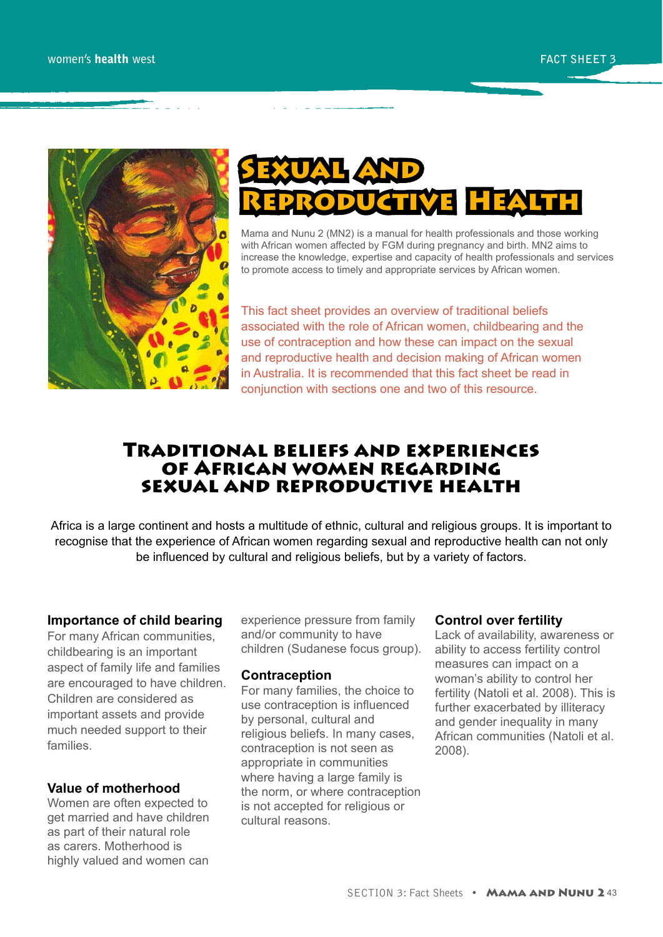

# Sexual and REPRODUCTIVE HEALTH

Mama and Nunu 2 (MN2) is a manual for health professionals and those working with African women affected by FGM during pregnancy and birth. MN2 aims to increase the knowledge, expertise and capacity of health professionals and services to promote access to timely and appropriate services by African women.

This fact sheet provides an overview of traditional beliefs associated with the role of African women, childbearing and the use of contraception and how these can impact on the sexual and reproductive health and decision making of African women in Australia. It is recommended that this fact sheet be read in conjunction with sections one and two of this resource.

## Traditional beliefs and experiences of African women regarding sexual and reproductive health

Africa is a large continent and hosts a multitude of ethnic, cultural and religious groups. It is important to recognise that the experience of African women regarding sexual and reproductive health can not only be influenced by cultural and religious beliefs, but by a variety of factors.

#### **Importance of child bearing**

For many African communities, childbearing is an important aspect of family life and families are encouraged to have children. Children are considered as important assets and provide much needed support to their families.

#### **Value of motherhood**

Women are often expected to get married and have children as part of their natural role as carers. Motherhood is highly valued and women can

experience pressure from family and/or community to have children (Sudanese focus group).

#### **Contraception**

For many families, the choice to use contraception is influenced by personal, cultural and religious beliefs. In many cases, contraception is not seen as appropriate in communities where having a large family is the norm, or where contraception is not accepted for religious or cultural reasons.

#### **Control over fertility**

Lack of availability, awareness or ability to access fertility control measures can impact on a woman's ability to control her fertility (Natoli et al. 2008). This is further exacerbated by illiteracy and gender inequality in many African communities (Natoli et al. 2008).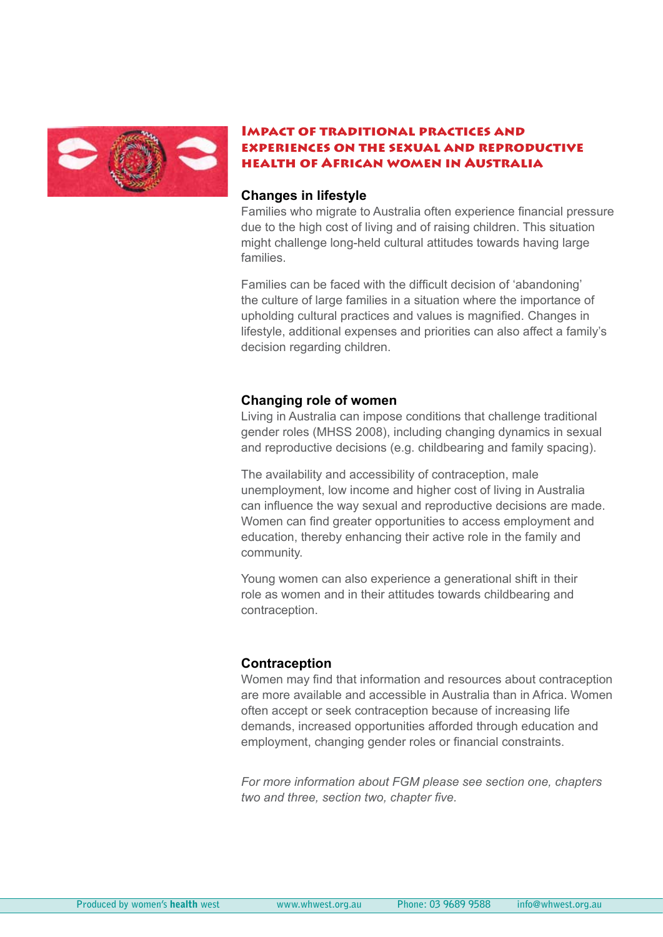

#### Impact of traditional practices and experiences on the sexual and reproductive health of African women in Australia

#### **Changes in lifestyle**

Families who migrate to Australia often experience financial pressure due to the high cost of living and of raising children. This situation might challenge long-held cultural attitudes towards having large families.

Families can be faced with the difficult decision of 'abandoning' the culture of large families in a situation where the importance of upholding cultural practices and values is magnified. Changes in lifestyle, additional expenses and priorities can also affect a family's decision regarding children.

#### **Changing role of women**

Living in Australia can impose conditions that challenge traditional gender roles (MHSS 2008), including changing dynamics in sexual and reproductive decisions (e.g. childbearing and family spacing).

The availability and accessibility of contraception, male unemployment, low income and higher cost of living in Australia can influence the way sexual and reproductive decisions are made. Women can find greater opportunities to access employment and education, thereby enhancing their active role in the family and community.

Young women can also experience a generational shift in their role as women and in their attitudes towards childbearing and contraception.

#### **Contraception**

Women may find that information and resources about contraception are more available and accessible in Australia than in Africa. Women often accept or seek contraception because of increasing life demands, increased opportunities afforded through education and employment, changing gender roles or financial constraints.

*For more information about FGM please see section one, chapters two and three, section two, chapter five.*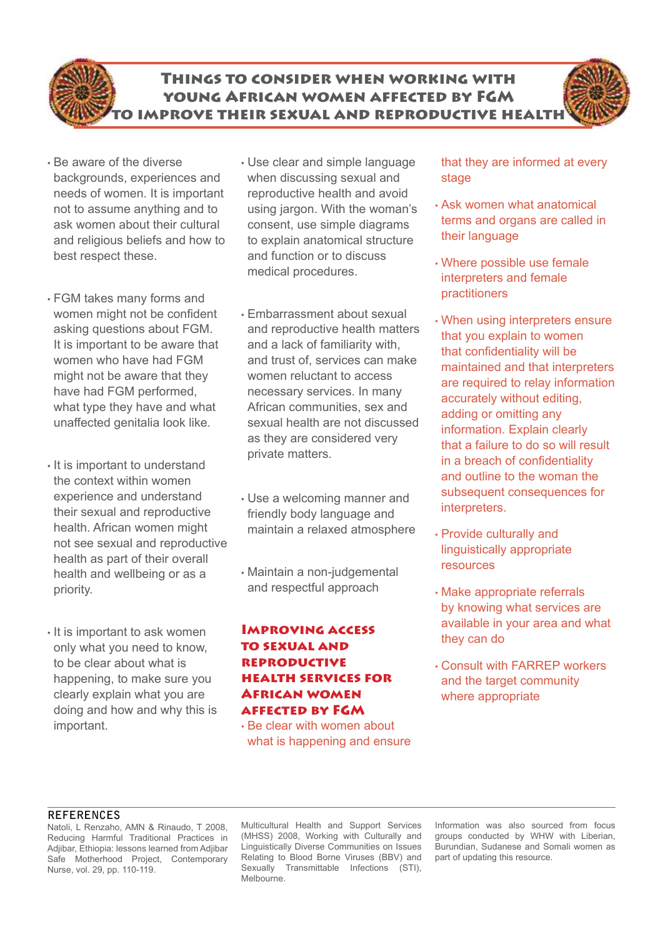

## Things to consider when working with young African women affected by FGM to improve their sexual and reproductive health

- Be aware of the diverse backgrounds, experiences and needs of women. It is important not to assume anything and to ask women about their cultural and religious beliefs and how to best respect these.
- FGM takes many forms and women might not be confident asking questions about FGM. It is important to be aware that women who have had FGM might not be aware that they have had FGM performed, what type they have and what unaffected genitalia look like.
- It is important to understand the context within women experience and understand their sexual and reproductive health. African women might not see sexual and reproductive health as part of their overall health and wellbeing or as a priority.
- It is important to ask women only what you need to know, to be clear about what is happening, to make sure you clearly explain what you are doing and how and why this is important.
- Use clear and simple language when discussing sexual and reproductive health and avoid using jargon. With the woman's consent, use simple diagrams to explain anatomical structure and function or to discuss medical procedures.
- Embarrassment about sexual and reproductive health matters and a lack of familiarity with, and trust of, services can make women reluctant to access necessary services. In many African communities, sex and sexual health are not discussed as they are considered very private matters.
- Use a welcoming manner and friendly body language and maintain a relaxed atmosphere
- Maintain a non-judgemental and respectful approach

#### Improving access to sexual and reproductive health services for African women affected by FGM

• Be clear with women about what is happening and ensure

that they are informed at every stage

- Ask women what anatomical terms and organs are called in their language
- Where possible use female interpreters and female practitioners
- When using interpreters ensure that you explain to women that confidentiality will be maintained and that interpreters are required to relay information accurately without editing, adding or omitting any information. Explain clearly that a failure to do so will result in a breach of confidentiality and outline to the woman the subsequent consequences for interpreters.
- Provide culturally and linguistically appropriate resources
- Make appropriate referrals by knowing what services are available in your area and what they can do
- Consult with FARREP workers and the target community where appropriate

#### **References**

Natoli, L Renzaho, AMN & Rinaudo, T 2008, Reducing Harmful Traditional Practices in Adjibar, Ethiopia: lessons learned from Adjibar Safe Motherhood Project, Contemporary Nurse, vol. 29, pp. 110-119.

Multicultural Health and Support Services (MHSS) 2008, Working with Culturally and Linguistically Diverse Communities on Issues Relating to Blood Borne Viruses (BBV) and Sexually Transmittable Infections (STI), Melbourne.

Information was also sourced from focus groups conducted by WHW with Liberian, Burundian, Sudanese and Somali women as part of updating this resource.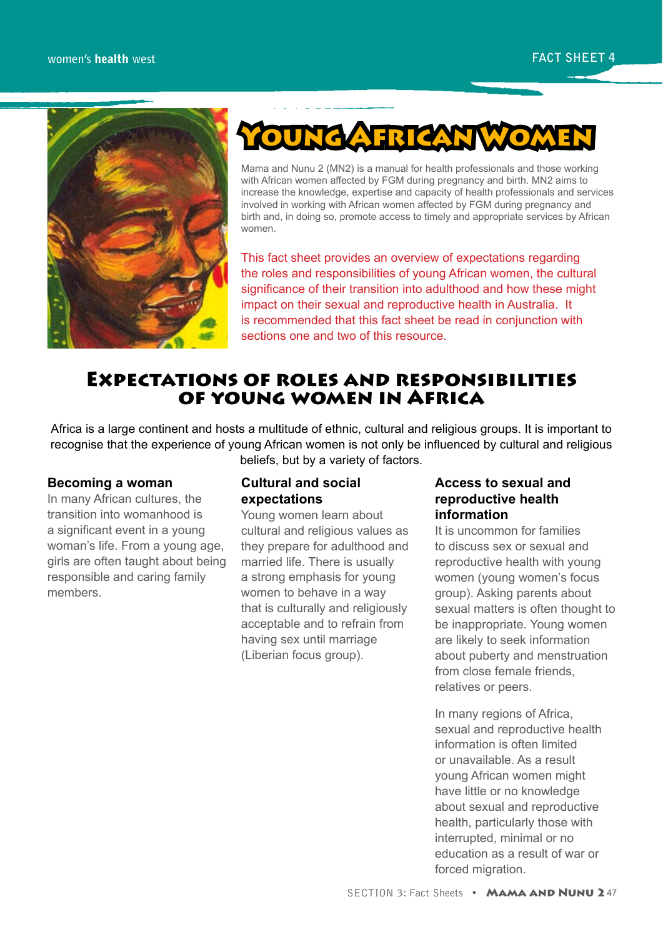



Mama and Nunu 2 (MN2) is a manual for health professionals and those working with African women affected by FGM during pregnancy and birth. MN2 aims to increase the knowledge, expertise and capacity of health professionals and services involved in working with African women affected by FGM during pregnancy and birth and, in doing so, promote access to timely and appropriate services by African women.

This fact sheet provides an overview of expectations regarding the roles and responsibilities of young African women, the cultural significance of their transition into adulthood and how these might impact on their sexual and reproductive health in Australia. It is recommended that this fact sheet be read in conjunction with sections one and two of this resource.

# Expectations of roles and responsibilities of young women in Africa

Africa is a large continent and hosts a multitude of ethnic, cultural and religious groups. It is important to recognise that the experience of young African women is not only be influenced by cultural and religious beliefs, but by a variety of factors.

#### **Becoming a woman**

In many African cultures, the transition into womanhood is a significant event in a young woman's life. From a young age, girls are often taught about being responsible and caring family members.

#### **Cultural and social expectations**

Young women learn about cultural and religious values as they prepare for adulthood and married life. There is usually a strong emphasis for young women to behave in a way that is culturally and religiously acceptable and to refrain from having sex until marriage (Liberian focus group).

#### **Access to sexual and reproductive health information**

It is uncommon for families to discuss sex or sexual and reproductive health with young women (young women's focus group). Asking parents about sexual matters is often thought to be inappropriate. Young women are likely to seek information about puberty and menstruation from close female friends, relatives or peers.

In many regions of Africa, sexual and reproductive health information is often limited or unavailable. As a result young African women might have little or no knowledge about sexual and reproductive health, particularly those with interrupted, minimal or no education as a result of war or forced migration.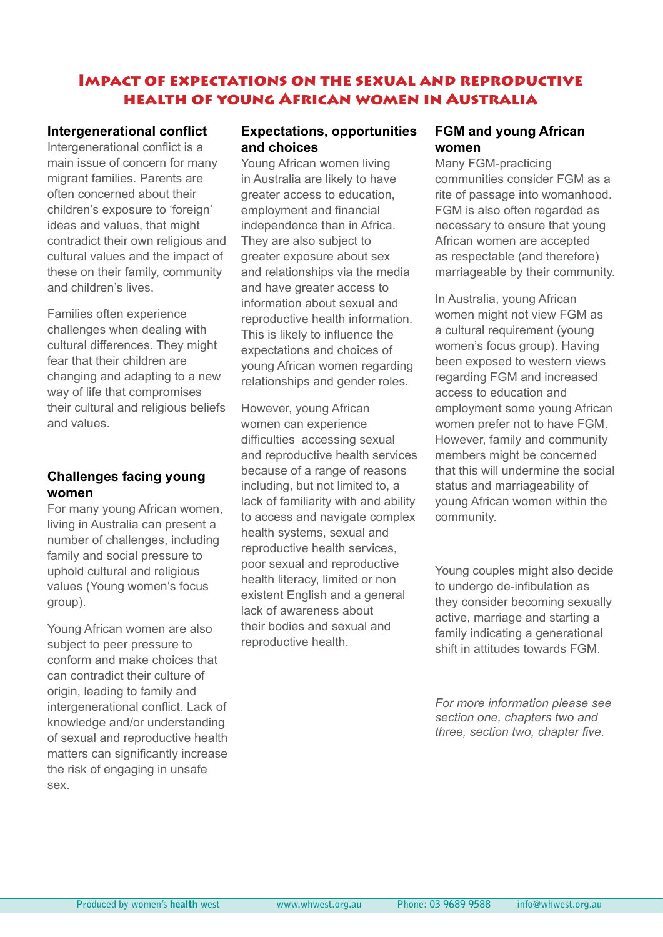### Impact of expectations on the sexual and reproductive health of young African women in Australia

#### **Intergenerational conflict**

Intergenerational conflict is a main issue of concern for many migrant families. Parents are often concerned about their children's exposure to 'foreign' ideas and values, that might contradict their own religious and cultural values and the impact of these on their family, community and children's lives.

Families often experience challenges when dealing with cultural differences. They might fear that their children are changing and adapting to a new way of life that compromises their cultural and religious beliefs and values.

#### **Challenges facing young women**

For many young African women, living in Australia can present a number of challenges, including family and social pressure to uphold cultural and religious values (Young women's focus group).

Young African women are also subject to peer pressure to conform and make choices that can contradict their culture of origin, leading to family and intergenerational conflict. Lack of knowledge and/or understanding of sexual and reproductive health matters can significantly increase the risk of engaging in unsafe sex.

#### **Expectations, opportunities and choices**

Young African women living in Australia are likely to have greater access to education, employment and financial independence than in Africa. They are also subject to greater exposure about sex and relationships via the media and have greater access to information about sexual and reproductive health information. This is likely to influence the expectations and choices of young African women regarding relationships and gender roles.

However, young African women can experience difficulties accessing sexual and reproductive health services because of a range of reasons including, but not limited to, a lack of familiarity with and ability to access and navigate complex health systems, sexual and reproductive health services, poor sexual and reproductive health literacy, limited or non existent English and a general lack of awareness about their bodies and sexual and reproductive health.

#### **FGM and young African women**

Many FGM-practicing communities consider FGM as a rite of passage into womanhood. FGM is also often regarded as necessary to ensure that young African women are accepted as respectable (and therefore) marriageable by their community.

In Australia, young African women might not view FGM as a cultural requirement (young women's focus group). Having been exposed to western views regarding FGM and increased access to education and employment some young African women prefer not to have FGM. However, family and community members might be concerned that this will undermine the social status and marriageability of young African women within the community.

Young couples might also decide to undergo de-infibulation as they consider becoming sexually active, marriage and starting a family indicating a generational shift in attitudes towards FGM.

*For more information please see section one, chapters two and three, section two, chapter five.*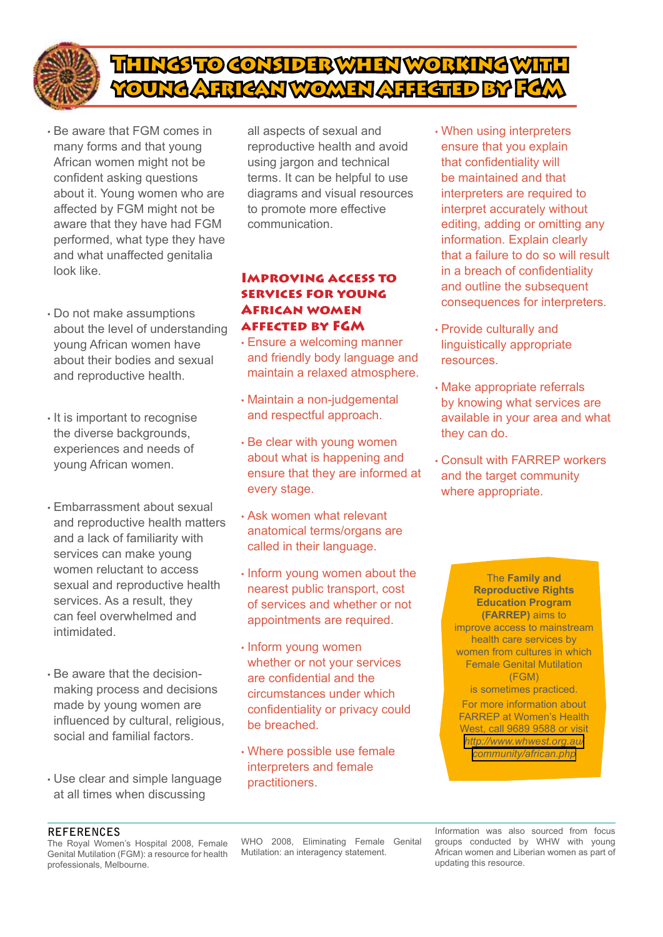

# THINGS TO CONSIDER WHEN WORKING WITH young African women affected by FGM

- Be aware that FGM comes in many forms and that young African women might not be confident asking questions about it. Young women who are affected by FGM might not be aware that they have had FGM performed, what type they have and what unaffected genitalia look like.
- Do not make assumptions about the level of understanding young African women have about their bodies and sexual and reproductive health.
- It is important to recognise the diverse backgrounds. experiences and needs of young African women.
- Embarrassment about sexual and reproductive health matters and a lack of familiarity with services can make young women reluctant to access sexual and reproductive health services. As a result, they can feel overwhelmed and intimidated.
- Be aware that the decisionmaking process and decisions made by young women are influenced by cultural, religious, social and familial factors.
- Use clear and simple language at all times when discussing

all aspects of sexual and reproductive health and avoid using jargon and technical terms. It can be helpful to use diagrams and visual resources to promote more effective communication.

#### Improving access to services for young African women affected by FGM

- Ensure a welcoming manner and friendly body language and maintain a relaxed atmosphere.
- Maintain a non-judgemental and respectful approach.
- Be clear with young women about what is happening and ensure that they are informed at every stage.
- Ask women what relevant anatomical terms/organs are called in their language.
- Inform young women about the nearest public transport, cost of services and whether or not appointments are required.
- Inform young women whether or not your services are confidential and the circumstances under which confidentiality or privacy could be breached.
- Where possible use female interpreters and female practitioners.

• When using interpreters ensure that you explain that confidentiality will be maintained and that interpreters are required to interpret accurately without editing, adding or omitting any information. Explain clearly that a failure to do so will result in a breach of confidentiality and outline the subsequent consequences for interpreters.

- Provide culturally and linguistically appropriate resources.
- Make appropriate referrals by knowing what services are available in your area and what they can do.
- Consult with FARREP workers and the target community where appropriate.

The **Family and Reproductive Rights Education Program (FARREP)** aims to improve access to mainstream health care services by women from cultures in which Female Genital Mutilation (FGM) is sometimes practiced. For more information about FARREP at Women's Health

West, call 9689 9588 or visit *[http://www.whwest.org.au/](http://www.whwest.org.au/community/african.php) [community/african.php](http://www.whwest.org.au/community/african.php)*

#### **References**

WHO 2008, Eliminating Female Genital Mutilation: an interagency statement.

Information was also sourced from focus groups conducted by WHW with young African women and Liberian women as part of updating this resource.

The Royal Women's Hospital 2008, Female Genital Mutilation (FGM): a resource for health professionals, Melbourne.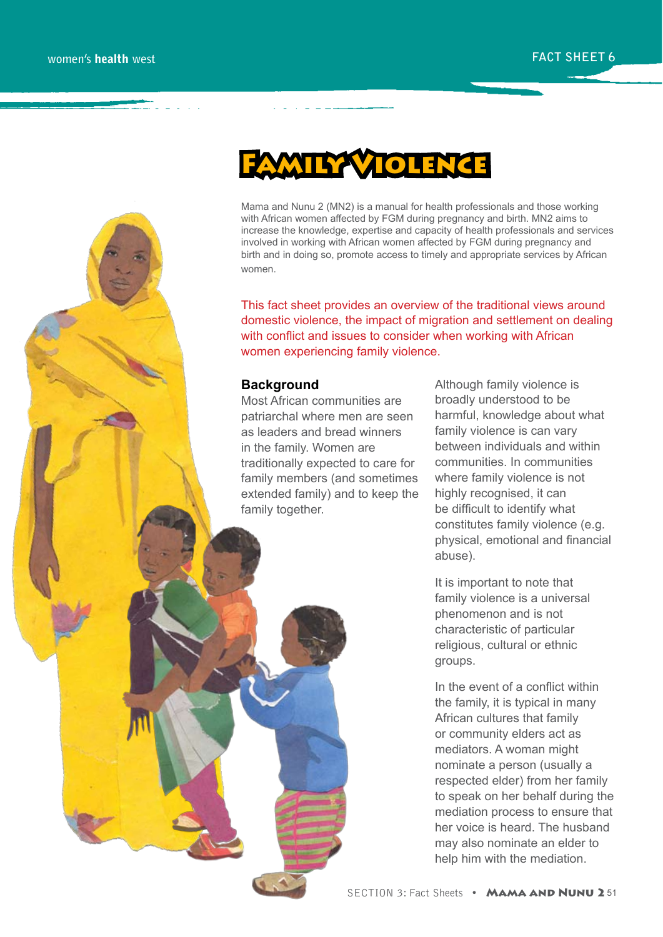# Family Violence

Mama and Nunu 2 (MN2) is a manual for health professionals and those working with African women affected by FGM during pregnancy and birth. MN2 aims to increase the knowledge, expertise and capacity of health professionals and services involved in working with African women affected by FGM during pregnancy and birth and in doing so, promote access to timely and appropriate services by African women.

This fact sheet provides an overview of the traditional views around domestic violence, the impact of migration and settlement on dealing with conflict and issues to consider when working with African women experiencing family violence.

#### **Background**

Most African communities are patriarchal where men are seen as leaders and bread winners in the family. Women are traditionally expected to care for family members (and sometimes extended family) and to keep the family together.

Although family violence is broadly understood to be harmful, knowledge about what family violence is can vary between individuals and within communities. In communities where family violence is not highly recognised, it can be difficult to identify what constitutes family violence (e.g. physical, emotional and financial abuse).

It is important to note that family violence is a universal phenomenon and is not characteristic of particular religious, cultural or ethnic groups.

In the event of a conflict within the family, it is typical in many African cultures that family or community elders act as mediators. A woman might nominate a person (usually a respected elder) from her family to speak on her behalf during the mediation process to ensure that her voice is heard. The husband may also nominate an elder to help him with the mediation.